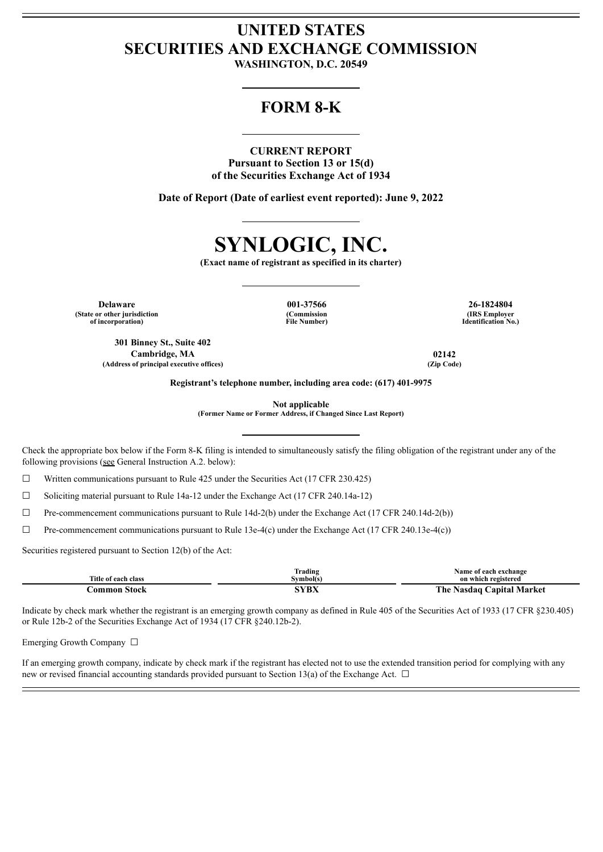## **UNITED STATES SECURITIES AND EXCHANGE COMMISSION**

**WASHINGTON, D.C. 20549**

## **FORM 8-K**

**CURRENT REPORT Pursuant to Section 13 or 15(d) of the Securities Exchange Act of 1934**

**Date of Report (Date of earliest event reported): June 9, 2022**



**(Exact name of registrant as specified in its charter)**

**Delaware 001-37566 26-1824804 (State or other jurisdiction of incorporation)**

**(Commission File Number)**

**(IRS Employer Identification No.)**

**301 Binney St., Suite 402 Cambridge, MA 02142 (Address of principal executive offices) (Zip Code)**

**Registrant's telephone number, including area code: (617) 401-9975**

**Not applicable**

**(Former Name or Former Address, if Changed Since Last Report)**

Check the appropriate box below if the Form 8-K filing is intended to simultaneously satisfy the filing obligation of the registrant under any of the following provisions (see General Instruction A.2. below):

 $\Box$  Written communications pursuant to Rule 425 under the Securities Act (17 CFR 230.425)

 $\Box$  Soliciting material pursuant to Rule 14a-12 under the Exchange Act (17 CFR 240.14a-12)

 $\Box$  Pre-commencement communications pursuant to Rule 14d-2(b) under the Exchange Act (17 CFR 240.14d-2(b))

☐ Pre-commencement communications pursuant to Rule 13e-4(c) under the Exchange Act (17 CFR 240.13e-4(c))

Securities registered pursuant to Section 12(b) of the Act:

|                     | Trading    | Name of each exchange                                    |
|---------------------|------------|----------------------------------------------------------|
| Title of each class | Svmbol(s)  | on which registered                                      |
| Stock<br>`ommon     | $\sqrt{V}$ | <b>Canital Market</b><br>r he<br><b>Nasdar</b><br>$\sim$ |

Indicate by check mark whether the registrant is an emerging growth company as defined in Rule 405 of the Securities Act of 1933 (17 CFR §230.405) or Rule 12b-2 of the Securities Exchange Act of 1934 (17 CFR §240.12b-2).

Emerging Growth Company ☐

If an emerging growth company, indicate by check mark if the registrant has elected not to use the extended transition period for complying with any new or revised financial accounting standards provided pursuant to Section 13(a) of the Exchange Act.  $\Box$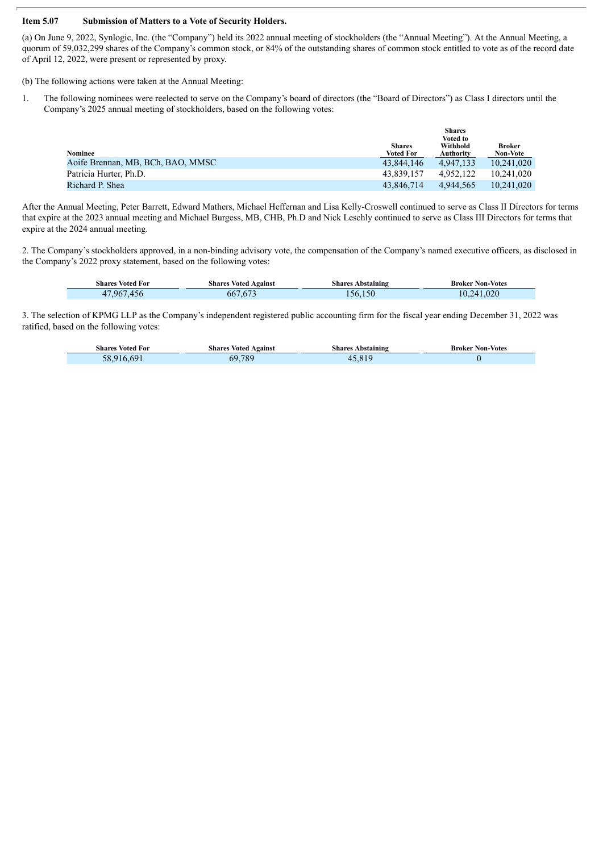## **Item 5.07 Submission of Matters to a Vote of Security Holders.**

(a) On June 9, 2022, Synlogic, Inc. (the "Company") held its 2022 annual meeting of stockholders (the "Annual Meeting"). At the Annual Meeting, a quorum of 59,032,299 shares of the Company's common stock, or 84% of the outstanding shares of common stock entitled to vote as of the record date of April 12, 2022, were present or represented by proxy.

(b) The following actions were taken at the Annual Meeting:

Г

1. The following nominees were reelected to serve on the Company's board of directors (the "Board of Directors") as Class I directors until the Company's 2025 annual meeting of stockholders, based on the following votes:

|                                   |                                   | <b>Shares</b><br><b>Voted to</b> |                           |  |
|-----------------------------------|-----------------------------------|----------------------------------|---------------------------|--|
| <b>Nominee</b>                    | <b>Shares</b><br><b>Voted For</b> | Withhold<br><b>Authority</b>     | Broker<br><b>Non-Vote</b> |  |
| Aoife Brennan, MB, BCh, BAO, MMSC | 43.844.146                        | 4.947.133                        | 10.241.020                |  |
| Patricia Hurter, Ph.D.            | 43.839.157                        | 4.952.122                        | 10.241.020                |  |
| Richard P. Shea                   | 43.846.714                        | 4.944.565                        | 10.241.020                |  |

After the Annual Meeting, Peter Barrett, Edward Mathers, Michael Heffernan and Lisa Kelly-Croswell continued to serve as Class II Directors for terms that expire at the 2023 annual meeting and Michael Burgess, MB, CHB, Ph.D and Nick Leschly continued to serve as Class III Directors for terms that expire at the 2024 annual meeting.

2. The Company's stockholders approved, in a non-binding advisory vote, the compensation of the Company's named executive officers, as disclosed in the Company's 2022 proxy statement, based on the following votes:

| <b>Shares Voted For</b> | <b>Shares Voted Against</b> | <b>Shares Abstaining</b> | <b>Broker Non-Votes</b> |
|-------------------------|-----------------------------|--------------------------|-------------------------|
| ,967,456<br>47          | 667,673                     | 56.150                   | 10,241,020              |

3. The selection of KPMG LLP as the Company's independent registered public accounting firm for the fiscal year ending December 31, 2022 was ratified, based on the following votes:

| <b>Shares Voted For</b> | <b>Shares Voted Against</b> | Abstaining<br>shares | <b>Broker Non-Votes</b> |
|-------------------------|-----------------------------|----------------------|-------------------------|
| 58.9                    | .789<br>69                  | 4                    |                         |